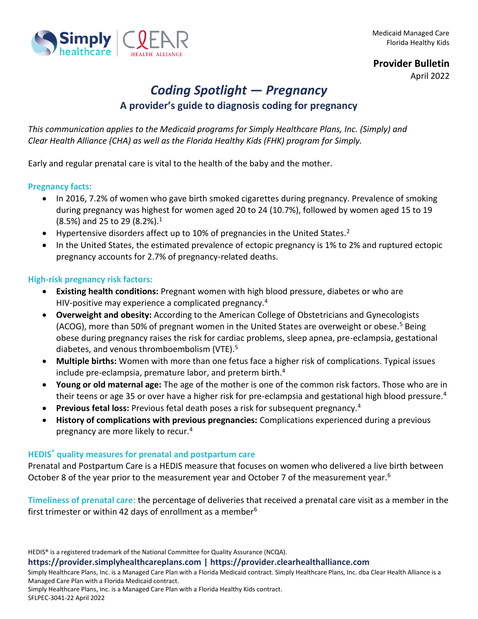



April 2022

# *Coding Spotlight — Pregnancy* **A provider's guide to diagnosis coding for pregnancy**

*This communication applies to the Medicaid programs for Simply Healthcare Plans, Inc. (Simply) and Clear Health Alliance (CHA) as well as the Florida Healthy Kids (FHK) program for Simply.*

Early and regular prenatal care is vital to the health of the baby and the mother.

#### **Pregnancy facts:**

- In 2016, 7.2% of women who gave birth smoked cigarettes during pregnancy. Prevalence of smoking during pregnancy was highest for women aged 20 to 24 (10.7%), followed by women aged 15 to 19 (8.5%) and 25 to 29 (8.2%).<sup>1</sup>
- Hypertensive disorders affect up to 10% of pregnancies in the United States.<sup>2</sup>
- In the United States, the estimated prevalence of ectopic pregnancy is 1% to 2% and ruptured ectopic pregnancy accounts for 2.7% of pregnancy-related deaths.

#### **High-risk pregnancy risk factors:**

- **Existing health conditions:** Pregnant women with high blood pressure, diabetes or who are HIV-positive may experience a complicated pregnancy.<sup>4</sup>
- **Overweight and obesity:** According to the American College of Obstetricians and Gynecologists (ACOG), more than 50% of pregnant women in the United States are overweight or obese.<sup>5</sup> Being obese during pregnancy raises the risk for cardiac problems, sleep apnea, pre-eclampsia, gestational diabetes, and venous thromboembolism (VTE).<sup>5</sup>
- **Multiple births:** Women with more than one fetus face a higher risk of complications. Typical issues include pre-eclampsia, premature labor, and preterm birth.<sup>4</sup>
- **Young or old maternal age:** The age of the mother is one of the common risk factors. Those who are in their teens or age 35 or over have a higher risk for pre-eclampsia and gestational high blood pressure.<sup>4</sup>
- **Previous fetal loss:** Previous fetal death poses a risk for subsequent pregnancy.<sup>4</sup>
- **History of complications with previous pregnancies:** Complications experienced during a previous pregnancy are more likely to recur.<sup>4</sup>

#### **HEDIS® quality measures for prenatal and postpartum care**

Prenatal and Postpartum Care is a HEDIS measure that focuses on women who delivered a live birth between October 8 of the year prior to the measurement year and October 7 of the measurement year.<sup>6</sup>

**Timeliness of prenatal care:** the percentage of deliveries that received a prenatal care visit as a member in the first trimester or within 42 days of enrollment as a member $6$ 

HEDIS® is a registered trademark of the National Committee for Quality Assurance (NCQA).

**https://provider.simplyhealthcareplans.com | https://provider.clearhealthalliance.com**

Simply Healthcare Plans, Inc. is a Managed Care Plan with a Florida Medicaid contract. Simply Healthcare Plans, Inc. dba Clear Health Alliance is a Managed Care Plan with a Florida Medicaid contract.

Simply Healthcare Plans, Inc. is a Managed Care Plan with a Florida Healthy Kids contract.

SFLPEC-3041-22 April 2022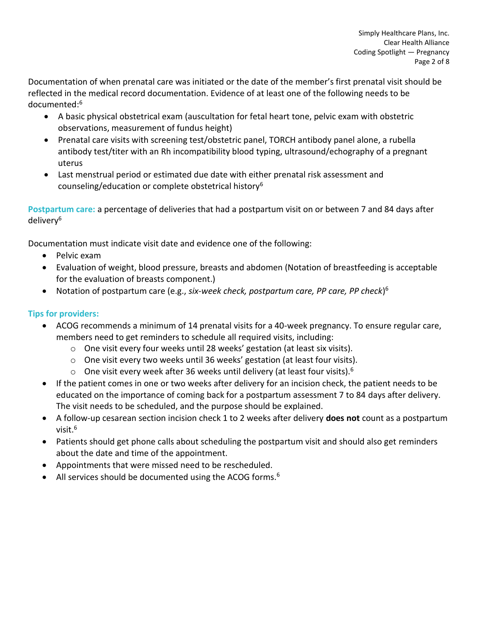Documentation of when prenatal care was initiated or the date of the member's first prenatal visit should be reflected in the medical record documentation. Evidence of at least one of the following needs to be documented:<sup>6</sup>

- A basic physical obstetrical exam (auscultation for fetal heart tone, pelvic exam with obstetric observations, measurement of fundus height)
- Prenatal care visits with screening test/obstetric panel, TORCH antibody panel alone, a rubella antibody test/titer with an Rh incompatibility blood typing, ultrasound/echography of a pregnant uterus
- Last menstrual period or estimated due date with either prenatal risk assessment and counseling/education or complete obstetrical history<sup>6</sup>

**Postpartum care:** a percentage of deliveries that had a postpartum visit on or between 7 and 84 days after delivery<sup>6</sup>

Documentation must indicate visit date and evidence one of the following:

- Pelvic exam
- Evaluation of weight, blood pressure, breasts and abdomen (Notation of breastfeeding is acceptable for the evaluation of breasts component.)
- Notation of postpartum care (e.g., *six-week check, postpartum care, PP care, PP check*) 6

## **Tips for providers:**

- ACOG recommends a minimum of 14 prenatal visits for a 40-week pregnancy. To ensure regular care, members need to get reminders to schedule all required visits, including:
	- o One visit every four weeks until 28 weeks' gestation (at least six visits).
	- o One visit every two weeks until 36 weeks' gestation (at least four visits).
	- $\circ$  One visit every week after 36 weeks until delivery (at least four visits).<sup>6</sup>
- If the patient comes in one or two weeks after delivery for an incision check, the patient needs to be educated on the importance of coming back for a postpartum assessment 7 to 84 days after delivery. The visit needs to be scheduled, and the purpose should be explained.
- A follow-up cesarean section incision check 1 to 2 weeks after delivery **does not** count as a postpartum visit.<sup>6</sup>
- Patients should get phone calls about scheduling the postpartum visit and should also get reminders about the date and time of the appointment.
- Appointments that were missed need to be rescheduled.
- All services should be documented using the ACOG forms.<sup>6</sup>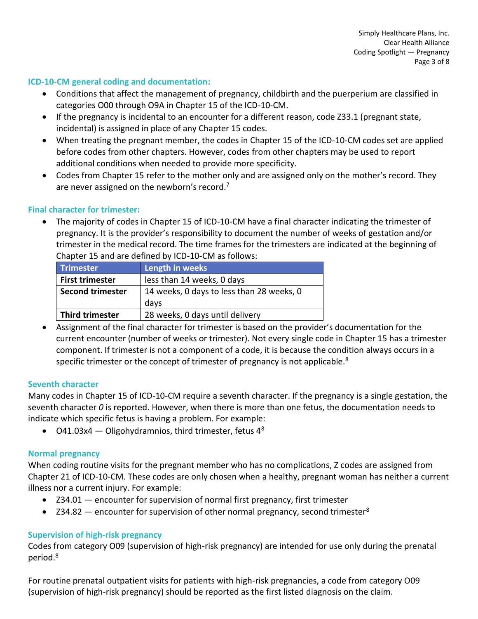#### **ICD-10-CM general coding and documentation:**

- Conditions that affect the management of pregnancy, childbirth and the puerperium are classified in categories O00 through O9A in Chapter 15 of the ICD-10-CM.
- If the pregnancy is incidental to an encounter for a different reason, code Z33.1 (pregnant state, incidental) is assigned in place of any Chapter 15 codes.
- When treating the pregnant member, the codes in Chapter 15 of the ICD-10-CM codes set are applied before codes from other chapters. However, codes from other chapters may be used to report additional conditions when needed to provide more specificity.
- Codes from Chapter 15 refer to the mother only and are assigned only on the mother's record. They are never assigned on the newborn's record.<sup>7</sup>

#### **Final character for trimester:**

• The majority of codes in Chapter 15 of ICD-10-CM have a final character indicating the trimester of pregnancy. It is the provider's responsibility to document the number of weeks of gestation and/or trimester in the medical record. The time frames for the trimesters are indicated at the beginning of Chapter 15 and are defined by ICD-10-CM as follows:

| <b>Trimester</b>        | Length in weeks                           |
|-------------------------|-------------------------------------------|
| <b>First trimester</b>  | less than 14 weeks, 0 days                |
| <b>Second trimester</b> | 14 weeks, 0 days to less than 28 weeks, 0 |
|                         | days                                      |
| <b>Third trimester</b>  | 28 weeks, 0 days until delivery           |

• Assignment of the final character for trimester is based on the provider's documentation for the current encounter (number of weeks or trimester). Not every single code in Chapter 15 has a trimester component. If trimester is not a component of a code, it is because the condition always occurs in a specific trimester or the concept of trimester of pregnancy is not applicable.<sup>8</sup>

#### **Seventh character**

Many codes in Chapter 15 of ICD-10-CM require a seventh character. If the pregnancy is a single gestation, the seventh character *0* is reported. However, when there is more than one fetus, the documentation needs to indicate which specific fetus is having a problem. For example:

• O41.03x4 — Oligohydramnios, third trimester, fetus  $4^8$ 

#### **Normal pregnancy**

When coding routine visits for the pregnant member who has no complications, Z codes are assigned from Chapter 21 of ICD-10-CM. These codes are only chosen when a healthy, pregnant woman has neither a current illness nor a current injury. For example:

- Z34.01 encounter for supervision of normal first pregnancy, first trimester
- Z34.82 encounter for supervision of other normal pregnancy, second trimester<sup>8</sup>

#### **Supervision of high-risk pregnancy**

Codes from category O09 (supervision of high-risk pregnancy) are intended for use only during the prenatal period.<sup>8</sup>

For routine prenatal outpatient visits for patients with high-risk pregnancies, a code from category O09 (supervision of high-risk pregnancy) should be reported as the first listed diagnosis on the claim.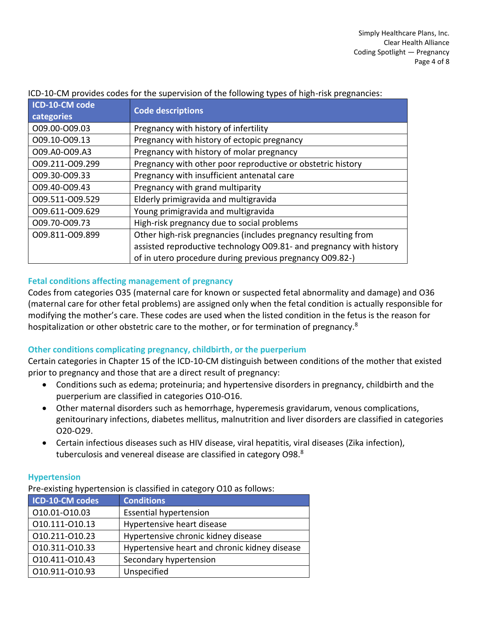| ICD-10-CM code<br>categories | <b>Code descriptions</b>                                            |
|------------------------------|---------------------------------------------------------------------|
| O09.00-O09.03                | Pregnancy with history of infertility                               |
| 009.10-009.13                | Pregnancy with history of ectopic pregnancy                         |
| O09.A0-O09.A3                | Pregnancy with history of molar pregnancy                           |
| 009.211-009.299              | Pregnancy with other poor reproductive or obstetric history         |
| 009.30-009.33                | Pregnancy with insufficient antenatal care                          |
| 009.40-009.43                | Pregnancy with grand multiparity                                    |
| 009.511-009.529              | Elderly primigravida and multigravida                               |
| 009.611-009.629              | Young primigravida and multigravida                                 |
| 009.70-009.73                | High-risk pregnancy due to social problems                          |
| 009.811-009.899              | Other high-risk pregnancies (includes pregnancy resulting from      |
|                              | assisted reproductive technology O09.81- and pregnancy with history |
|                              | of in utero procedure during previous pregnancy O09.82-)            |

ICD-10-CM provides codes for the supervision of the following types of high-risk pregnancies:

## **Fetal conditions affecting management of pregnancy**

Codes from categories O35 (maternal care for known or suspected fetal abnormality and damage) and O36 (maternal care for other fetal problems) are assigned only when the fetal condition is actually responsible for modifying the mother's care. These codes are used when the listed condition in the fetus is the reason for hospitalization or other obstetric care to the mother, or for termination of pregnancy. $8$ 

## **Other conditions complicating pregnancy, childbirth, or the puerperium**

Certain categories in Chapter 15 of the ICD-10-CM distinguish between conditions of the mother that existed prior to pregnancy and those that are a direct result of pregnancy:

- Conditions such as edema; proteinuria; and hypertensive disorders in pregnancy, childbirth and the puerperium are classified in categories O10-O16.
- Other maternal disorders such as hemorrhage, hyperemesis gravidarum, venous complications, genitourinary infections, diabetes mellitus, malnutrition and liver disorders are classified in categories O20-O29.
- Certain infectious diseases such as HIV disease, viral hepatitis, viral diseases (Zika infection), tuberculosis and venereal disease are classified in category O98.<sup>8</sup>

#### **Hypertension**

Pre-existing hypertension is classified in category O10 as follows:

| ICD-10-CM codes | <b>Conditions</b>                             |
|-----------------|-----------------------------------------------|
| 010.01-010.03   | <b>Essential hypertension</b>                 |
| 010.111-010.13  | Hypertensive heart disease                    |
| 010.211-010.23  | Hypertensive chronic kidney disease           |
| 010.311-010.33  | Hypertensive heart and chronic kidney disease |
| 010.411-010.43  | Secondary hypertension                        |
| 010.911-010.93  | Unspecified                                   |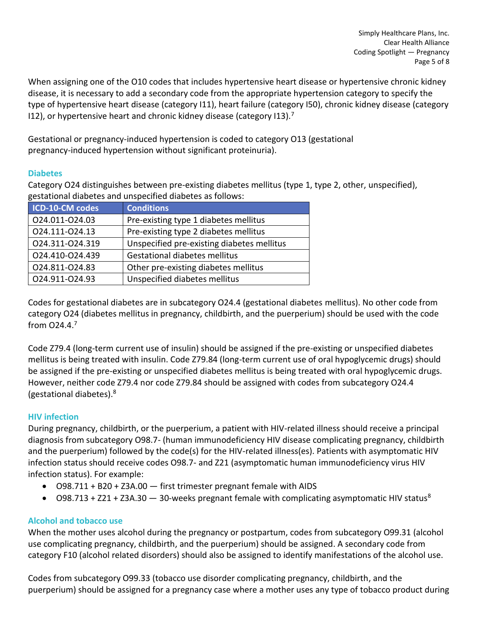When assigning one of the O10 codes that includes hypertensive heart disease or hypertensive chronic kidney disease, it is necessary to add a secondary code from the appropriate hypertension category to specify the type of hypertensive heart disease (category I11), heart failure (category I50), chronic kidney disease (category I12), or hypertensive heart and chronic kidney disease (category I13). $<sup>7</sup>$ </sup>

Gestational or pregnancy-induced hypertension is coded to category O13 (gestational pregnancy-induced hypertension without significant proteinuria).

## **Diabetes**

Category O24 distinguishes between pre-existing diabetes mellitus (type 1, type 2, other, unspecified), gestational diabetes and unspecified diabetes as follows:

| ICD-10-CM codes | <b>Conditions</b>                          |
|-----------------|--------------------------------------------|
| 024.011-024.03  | Pre-existing type 1 diabetes mellitus      |
| 024.111-024.13  | Pre-existing type 2 diabetes mellitus      |
| 024.311-024.319 | Unspecified pre-existing diabetes mellitus |
| 024.410-024.439 | Gestational diabetes mellitus              |
| 024.811-024.83  | Other pre-existing diabetes mellitus       |
| 024.911-024.93  | Unspecified diabetes mellitus              |

Codes for gestational diabetes are in subcategory O24.4 (gestational diabetes mellitus). No other code from category O24 (diabetes mellitus in pregnancy, childbirth, and the puerperium) should be used with the code from O24.4.<sup>7</sup>

Code Z79.4 (long-term current use of insulin) should be assigned if the pre-existing or unspecified diabetes mellitus is being treated with insulin. Code Z79.84 (long-term current use of oral hypoglycemic drugs) should be assigned if the pre-existing or unspecified diabetes mellitus is being treated with oral hypoglycemic drugs. However, neither code Z79.4 nor code Z79.84 should be assigned with codes from subcategory O24.4 (gestational diabetes).<sup>8</sup>

# **HIV infection**

During pregnancy, childbirth, or the puerperium, a patient with HIV-related illness should receive a principal diagnosis from subcategory O98.7- (human immunodeficiency HIV disease complicating pregnancy, childbirth and the puerperium) followed by the code(s) for the HIV-related illness(es). Patients with asymptomatic HIV infection status should receive codes O98.7- and Z21 (asymptomatic human immunodeficiency virus HIV infection status). For example:

- O98.711 + B20 + Z3A.00 first trimester pregnant female with AIDS
- O98.713 + Z21 + Z3A.30  $-$  30-weeks pregnant female with complicating asymptomatic HIV status<sup>8</sup>

# **Alcohol and tobacco use**

When the mother uses alcohol during the pregnancy or postpartum, codes from subcategory O99.31 (alcohol use complicating pregnancy, childbirth, and the puerperium) should be assigned. A secondary code from category F10 (alcohol related disorders) should also be assigned to identify manifestations of the alcohol use.

Codes from subcategory O99.33 (tobacco use disorder complicating pregnancy, childbirth, and the puerperium) should be assigned for a pregnancy case where a mother uses any type of tobacco product during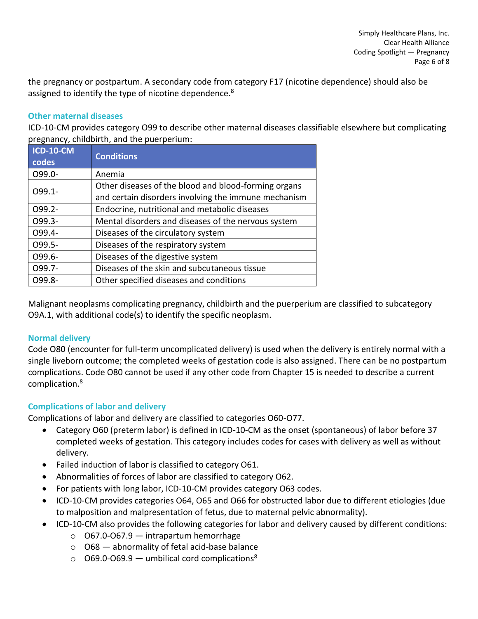the pregnancy or postpartum. A secondary code from category F17 (nicotine dependence) should also be assigned to identify the type of nicotine dependence.<sup>8</sup>

#### **Other maternal diseases**

ICD-10-CM provides category O99 to describe other maternal diseases classifiable elsewhere but complicating pregnancy, childbirth, and the puerperium:

| $ICD-10-CM$<br>codes | <b>Conditions</b>                                    |
|----------------------|------------------------------------------------------|
| O99.0-               | Anemia                                               |
| 099.1-               | Other diseases of the blood and blood-forming organs |
|                      | and certain disorders involving the immune mechanism |
| 099.2-               | Endocrine, nutritional and metabolic diseases        |
| 099.3-               | Mental disorders and diseases of the nervous system  |
| 099.4-               | Diseases of the circulatory system                   |
| 099.5-               | Diseases of the respiratory system                   |
| 099.6-               | Diseases of the digestive system                     |
| 099.7-               | Diseases of the skin and subcutaneous tissue         |
| O99.8-               | Other specified diseases and conditions              |

Malignant neoplasms complicating pregnancy, childbirth and the puerperium are classified to subcategory O9A.1, with additional code(s) to identify the specific neoplasm.

## **Normal delivery**

Code O80 (encounter for full-term uncomplicated delivery) is used when the delivery is entirely normal with a single liveborn outcome; the completed weeks of gestation code is also assigned. There can be no postpartum complications. Code O80 cannot be used if any other code from Chapter 15 is needed to describe a current complication.<sup>8</sup>

## **Complications of labor and delivery**

Complications of labor and delivery are classified to categories O60-O77.

- Category O60 (preterm labor) is defined in ICD-10-CM as the onset (spontaneous) of labor before 37 completed weeks of gestation. This category includes codes for cases with delivery as well as without delivery.
- Failed induction of labor is classified to category O61.
- Abnormalities of forces of labor are classified to category O62.
- For patients with long labor, ICD-10-CM provides category O63 codes.
- ICD-10-CM provides categories O64, O65 and O66 for obstructed labor due to different etiologies (due to malposition and malpresentation of fetus, due to maternal pelvic abnormality).
- ICD-10-CM also provides the following categories for labor and delivery caused by different conditions:
	- $\circ$  067.0-067.9 intrapartum hemorrhage
	- $\circ$  O68 abnormality of fetal acid-base balance
	- $\circ$  O69.0-O69.9 umbilical cord complications<sup>8</sup>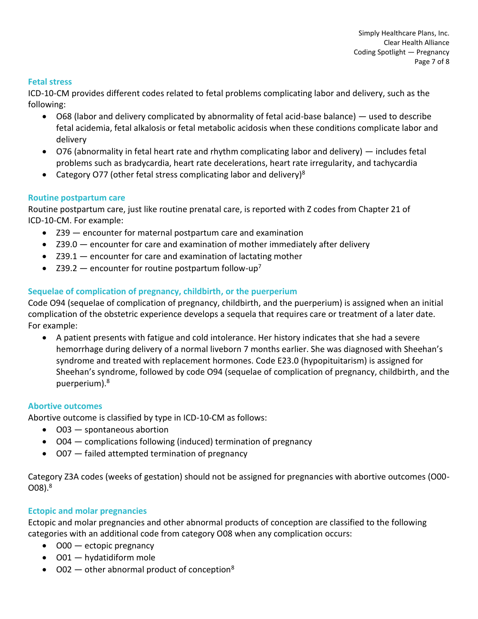#### **Fetal stress**

ICD-10-CM provides different codes related to fetal problems complicating labor and delivery, such as the following:

- O68 (labor and delivery complicated by abnormality of fetal acid-base balance) used to describe fetal acidemia, fetal alkalosis or fetal metabolic acidosis when these conditions complicate labor and delivery
- O76 (abnormality in fetal heart rate and rhythm complicating labor and delivery) includes fetal problems such as bradycardia, heart rate decelerations, heart rate irregularity, and tachycardia
- Category O77 (other fetal stress complicating labor and delivery)<sup>8</sup>

#### **Routine postpartum care**

Routine postpartum care, just like routine prenatal care, is reported with Z codes from Chapter 21 of ICD-10-CM. For example:

- Z39 encounter for maternal postpartum care and examination
- Z39.0 encounter for care and examination of mother immediately after delivery
- Z39.1 encounter for care and examination of lactating mother
- Z39.2  $-$  encounter for routine postpartum follow-up<sup>7</sup>

## **Sequelae of complication of pregnancy, childbirth, or the puerperium**

Code O94 (sequelae of complication of pregnancy, childbirth, and the puerperium) is assigned when an initial complication of the obstetric experience develops a sequela that requires care or treatment of a later date. For example:

• A patient presents with fatigue and cold intolerance. Her history indicates that she had a severe hemorrhage during delivery of a normal liveborn 7 months earlier. She was diagnosed with Sheehan's syndrome and treated with replacement hormones. Code E23.0 (hypopituitarism) is assigned for Sheehan's syndrome, followed by code O94 (sequelae of complication of pregnancy, childbirth, and the puerperium).<sup>8</sup>

#### **Abortive outcomes**

Abortive outcome is classified by type in ICD-10-CM as follows:

- O03 spontaneous abortion
- O04 complications following (induced) termination of pregnancy
- O07 failed attempted termination of pregnancy

Category Z3A codes (weeks of gestation) should not be assigned for pregnancies with abortive outcomes (O00- O08).<sup>8</sup>

## **Ectopic and molar pregnancies**

Ectopic and molar pregnancies and other abnormal products of conception are classified to the following categories with an additional code from category O08 when any complication occurs:

- O00 ectopic pregnancy
- O01 hydatidiform mole
- $O(02 -$  other abnormal product of conception<sup>8</sup>